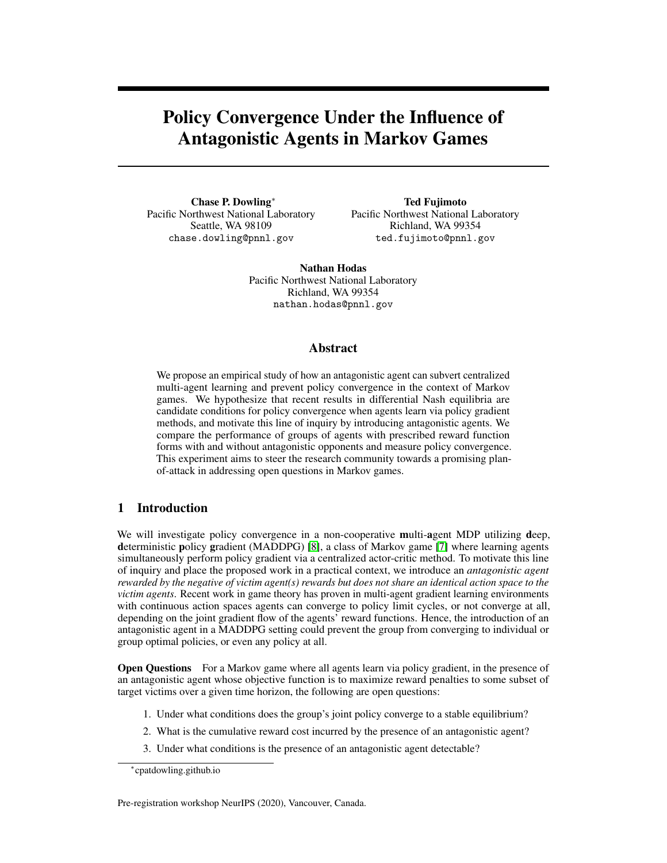# Policy Convergence Under the Influence of Antagonistic Agents in Markov Games

Chase P. Dowling<sup>∗</sup> Pacific Northwest National Laboratory Seattle, WA 98109 chase.dowling@pnnl.gov

Ted Fujimoto Pacific Northwest National Laboratory Richland, WA 99354 ted.fujimoto@pnnl.gov

Nathan Hodas Pacific Northwest National Laboratory Richland, WA 99354 nathan.hodas@pnnl.gov

## Abstract

We propose an empirical study of how an antagonistic agent can subvert centralized multi-agent learning and prevent policy convergence in the context of Markov games. We hypothesize that recent results in differential Nash equilibria are candidate conditions for policy convergence when agents learn via policy gradient methods, and motivate this line of inquiry by introducing antagonistic agents. We compare the performance of groups of agents with prescribed reward function forms with and without antagonistic opponents and measure policy convergence. This experiment aims to steer the research community towards a promising planof-attack in addressing open questions in Markov games.

## 1 Introduction

We will investigate policy convergence in a non-cooperative multi-agent MDP utilizing deep, deterministic policy gradient (MADDPG) [\[8\]](#page-5-0), a class of Markov game [\[7\]](#page-5-1) where learning agents simultaneously perform policy gradient via a centralized actor-critic method. To motivate this line of inquiry and place the proposed work in a practical context, we introduce an *antagonistic agent rewarded by the negative of victim agent(s) rewards but does not share an identical action space to the victim agents*. Recent work in game theory has proven in multi-agent gradient learning environments with continuous action spaces agents can converge to policy limit cycles, or not converge at all, depending on the joint gradient flow of the agents' reward functions. Hence, the introduction of an antagonistic agent in a MADDPG setting could prevent the group from converging to individual or group optimal policies, or even any policy at all.

**Open Questions** For a Markov game where all agents learn via policy gradient, in the presence of an antagonistic agent whose objective function is to maximize reward penalties to some subset of target victims over a given time horizon, the following are open questions:

- 1. Under what conditions does the group's joint policy converge to a stable equilibrium?
- 2. What is the cumulative reward cost incurred by the presence of an antagonistic agent?
- 3. Under what conditions is the presence of an antagonistic agent detectable?

Pre-registration workshop NeurIPS (2020), Vancouver, Canada.

<sup>∗</sup> cpatdowling.github.io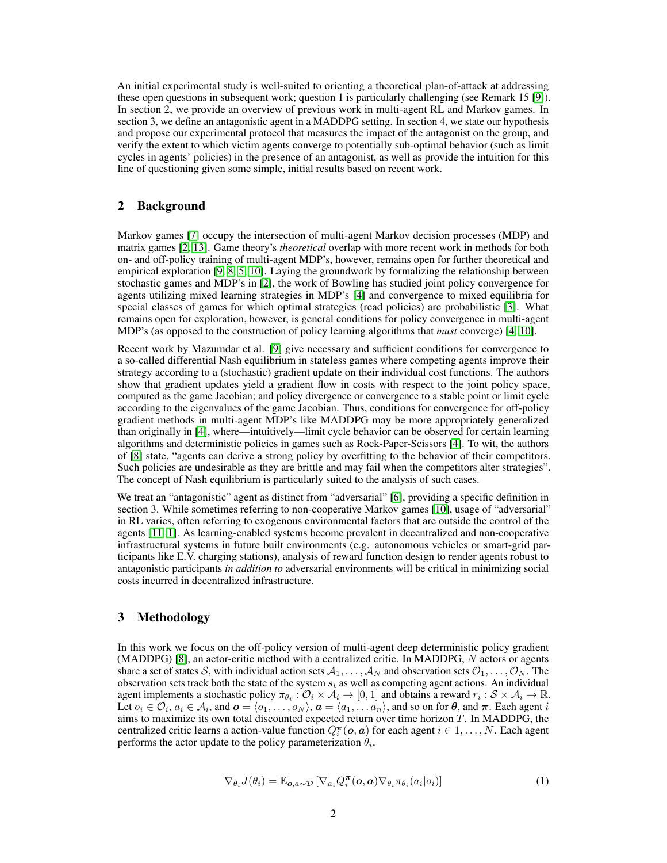An initial experimental study is well-suited to orienting a theoretical plan-of-attack at addressing these open questions in subsequent work; question 1 is particularly challenging (see Remark 15 [\[9\]](#page-5-2)). In section 2, we provide an overview of previous work in multi-agent RL and Markov games. In section 3, we define an antagonistic agent in a MADDPG setting. In section 4, we state our hypothesis and propose our experimental protocol that measures the impact of the antagonist on the group, and verify the extent to which victim agents converge to potentially sub-optimal behavior (such as limit cycles in agents' policies) in the presence of an antagonist, as well as provide the intuition for this line of questioning given some simple, initial results based on recent work.

## 2 Background

Markov games [\[7\]](#page-5-1) occupy the intersection of multi-agent Markov decision processes (MDP) and matrix games [\[2,](#page-5-3) [13\]](#page-5-4). Game theory's *theoretical* overlap with more recent work in methods for both on- and off-policy training of multi-agent MDP's, however, remains open for further theoretical and empirical exploration [\[9,](#page-5-2) [8,](#page-5-0) [5,](#page-5-5) [10\]](#page-5-6). Laying the groundwork by formalizing the relationship between stochastic games and MDP's in [\[2\]](#page-5-3), the work of Bowling has studied joint policy convergence for agents utilizing mixed learning strategies in MDP's [\[4\]](#page-5-7) and convergence to mixed equilibria for special classes of games for which optimal strategies (read policies) are probabilistic [\[3\]](#page-5-8). What remains open for exploration, however, is general conditions for policy convergence in multi-agent MDP's (as opposed to the construction of policy learning algorithms that *must* converge) [\[4,](#page-5-7) [10\]](#page-5-6).

Recent work by Mazumdar et al. [\[9\]](#page-5-2) give necessary and sufficient conditions for convergence to a so-called differential Nash equilibrium in stateless games where competing agents improve their strategy according to a (stochastic) gradient update on their individual cost functions. The authors show that gradient updates yield a gradient flow in costs with respect to the joint policy space, computed as the game Jacobian; and policy divergence or convergence to a stable point or limit cycle according to the eigenvalues of the game Jacobian. Thus, conditions for convergence for off-policy gradient methods in multi-agent MDP's like MADDPG may be more appropriately generalized than originally in [\[4\]](#page-5-7), where—intuitively—limit cycle behavior can be observed for certain learning algorithms and deterministic policies in games such as Rock-Paper-Scissors [\[4\]](#page-5-7). To wit, the authors of [\[8\]](#page-5-0) state, "agents can derive a strong policy by overfitting to the behavior of their competitors. Such policies are undesirable as they are brittle and may fail when the competitors alter strategies". The concept of Nash equilibrium is particularly suited to the analysis of such cases.

We treat an "antagonistic" agent as distinct from "adversarial" [\[6\]](#page-5-9), providing a specific definition in section 3. While sometimes referring to non-cooperative Markov games [\[10\]](#page-5-6), usage of "adversarial" in RL varies, often referring to exogenous environmental factors that are outside the control of the agents [\[11,](#page-5-10) [1\]](#page-5-11). As learning-enabled systems become prevalent in decentralized and non-cooperative infrastructural systems in future built environments (e.g. autonomous vehicles or smart-grid participants like E.V. charging stations), analysis of reward function design to render agents robust to antagonistic participants *in addition to* adversarial environments will be critical in minimizing social costs incurred in decentralized infrastructure.

### 3 Methodology

In this work we focus on the off-policy version of multi-agent deep deterministic policy gradient (MADDPG) [\[8\]](#page-5-0), an actor-critic method with a centralized critic. In MADDPG, N actors or agents share a set of states S, with individual action sets  $A_1, \ldots, A_N$  and observation sets  $\mathcal{O}_1, \ldots, \mathcal{O}_N$ . The observation sets track both the state of the system  $s_t$  as well as competing agent actions. An individual agent implements a stochastic policy  $\pi_{\theta_i} : \mathcal{O}_i \times \mathcal{A}_i \to [0,1]$  and obtains a reward  $r_i : \mathcal{S} \times \mathcal{A}_i \to \mathbb{R}$ . Let  $o_i \in \mathcal{O}_i$ ,  $a_i \in \mathcal{A}_i$ , and  $\bm{o} = \langle o_1, \ldots, o_N \rangle$ ,  $\bm{a} = \langle a_1, \ldots a_n \rangle$ , and so on for  $\bm{\theta}$ , and  $\bm{\pi}$ . Each agent  $i$ aims to maximize its own total discounted expected return over time horizon T. In MADDPG, the centralized critic learns a action-value function  $Q_i^{\pi}(\boldsymbol{o}, \boldsymbol{a})$  for each agent  $i \in 1, ..., N$ . Each agent performs the actor update to the policy parameterization  $\theta_i$ ,

$$
\nabla_{\theta_i} J(\theta_i) = \mathbb{E}_{\mathbf{o}, a \sim \mathcal{D}} \left[ \nabla_{a_i} Q_i^{\pi}(\mathbf{o}, \mathbf{a}) \nabla_{\theta_i} \pi_{\theta_i}(a_i | o_i) \right]
$$
(1)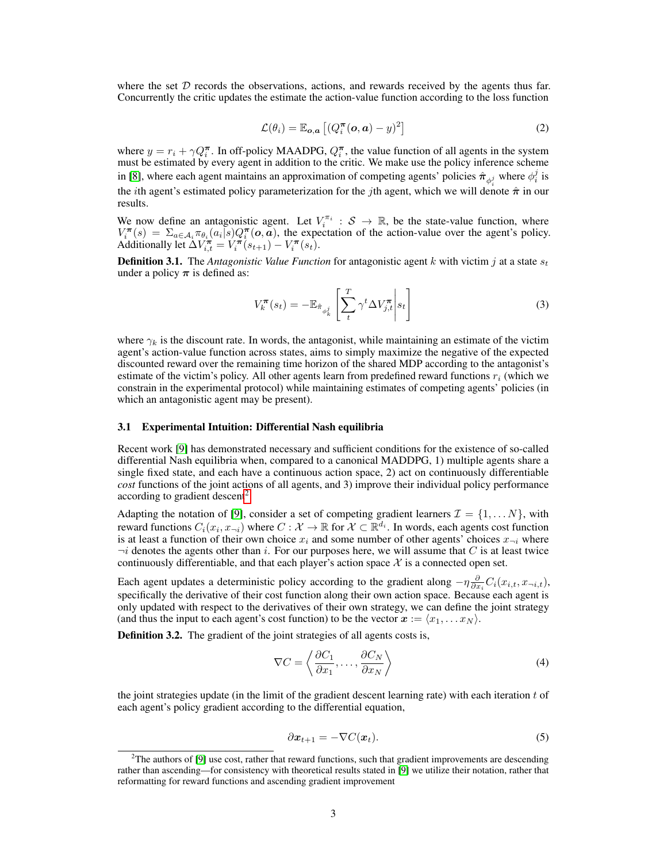where the set  $D$  records the observations, actions, and rewards received by the agents thus far. Concurrently the critic updates the estimate the action-value function according to the loss function

$$
\mathcal{L}(\theta_i) = \mathbb{E}_{o,a} \left[ (Q_i^{\boldsymbol{\pi}}(o,a) - y)^2 \right]
$$
 (2)

where  $y = r_i + \gamma Q_i^{\pi}$ . In off-policy MAADPG,  $Q_i^{\pi}$ , the value function of all agents in the system must be estimated by every agent in addition to the critic. We make use the policy inference scheme in [\[8\]](#page-5-0), where each agent maintains an approximation of competing agents' policies  $\hat{\pi}_{\phi_i^j}$  where  $\phi_i^j$  is the *i*th agent's estimated policy parameterization for the *j*th agent, which we will denote  $\hat{\pi}$  in our results.

We now define an antagonistic agent. Let  $V_i^{\pi_i}$  :  $S \to \mathbb{R}$ , be the state-value function, where  $V_i^{\pi}(s) = \sum_{a \in A_i} \pi_{\theta_i}(a_i|s) Q_i^{\pi}(o,a)$ , the expectation of the action-value over the agent's policy. Additionally let  $\Delta V_{i,t}^{\pi} = V_i^{\pi}(s_{t+1}) - V_i^{\pi}(s_t)$ .

**Definition 3.1.** The *Antagonistic Value Function* for antagonistic agent k with victim j at a state  $s_t$ under a policy  $\pi$  is defined as:

$$
V_k^{\boldsymbol{\pi}}(s_t) = -\mathbb{E}_{\hat{\pi}_{\phi_k^j}} \left[ \sum_t^T \gamma^t \Delta V_{j,t}^{\boldsymbol{\pi}} \middle| s_t \right]
$$
 (3)

where  $\gamma_k$  is the discount rate. In words, the antagonist, while maintaining an estimate of the victim agent's action-value function across states, aims to simply maximize the negative of the expected discounted reward over the remaining time horizon of the shared MDP according to the antagonist's estimate of the victim's policy. All other agents learn from predefined reward functions  $r_i$  (which we constrain in the experimental protocol) while maintaining estimates of competing agents' policies (in which an antagonistic agent may be present).

#### 3.1 Experimental Intuition: Differential Nash equilibria

Recent work [\[9\]](#page-5-2) has demonstrated necessary and sufficient conditions for the existence of so-called differential Nash equilibria when, compared to a canonical MADDPG, 1) multiple agents share a single fixed state, and each have a continuous action space, 2) act on continuously differentiable *cost* functions of the joint actions of all agents, and 3) improve their individual policy performance according to gradient descent<sup>[2](#page-2-0)</sup>.

Adapting the notation of [\[9\]](#page-5-2), consider a set of competing gradient learners  $\mathcal{I} = \{1, \dots N\}$ , with reward functions  $C_i(x_i, x_{\neg i})$  where  $C : \mathcal{X} \to \mathbb{R}$  for  $\mathcal{X} \subset \mathbb{R}^{d_i}$ . In words, each agents cost function is at least a function of their own choice  $x_i$  and some number of other agents' choices  $x_{\neg i}$  where  $\neg i$  denotes the agents other than i. For our purposes here, we will assume that C is at least twice continuously differentiable, and that each player's action space  $X$  is a connected open set.

Each agent updates a deterministic policy according to the gradient along  $-\eta \frac{\partial}{\partial x_i} C_i(x_{i,t}, x_{\neg i,t})$ , specifically the derivative of their cost function along their own action space. Because each agent is only updated with respect to the derivatives of their own strategy, we can define the joint strategy (and thus the input to each agent's cost function) to be the vector  $x := \langle x_1, \ldots x_N \rangle$ .

Definition 3.2. The gradient of the joint strategies of all agents costs is,

$$
\nabla C = \left\langle \frac{\partial C_1}{\partial x_1}, \dots, \frac{\partial C_N}{\partial x_N} \right\rangle
$$
 (4)

<span id="page-2-1"></span>the joint strategies update (in the limit of the gradient descent learning rate) with each iteration  $t$  of each agent's policy gradient according to the differential equation,

$$
\partial x_{t+1} = -\nabla C(x_t). \tag{5}
$$

<span id="page-2-0"></span> $2$ The authors of [\[9\]](#page-5-2) use cost, rather that reward functions, such that gradient improvements are descending rather than ascending—for consistency with theoretical results stated in [\[9\]](#page-5-2) we utilize their notation, rather that reformatting for reward functions and ascending gradient improvement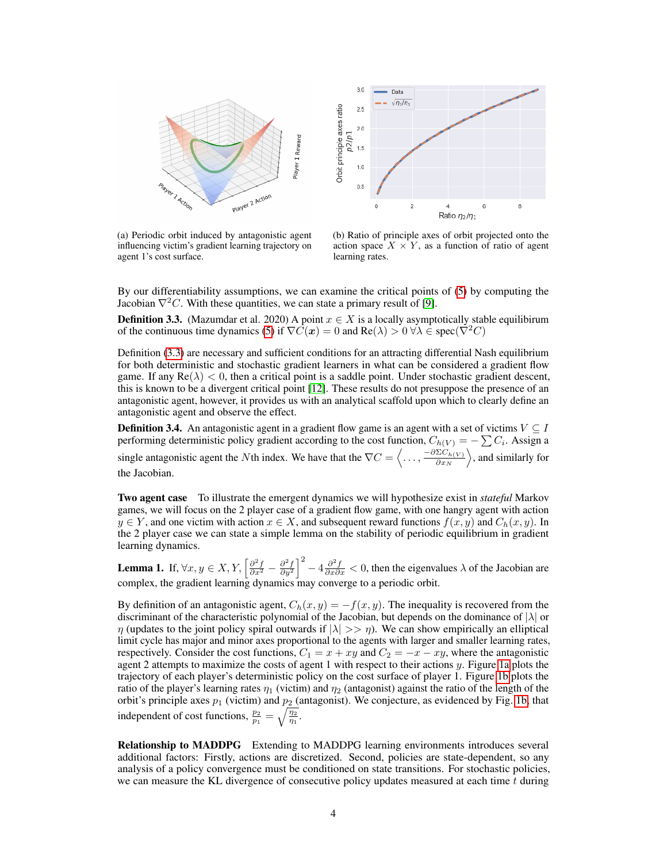<span id="page-3-1"></span>

 $3.0$ Data  $\sqrt{n_2/n_1}$ Orbit principle axes ratio  $2.5$  $2.0$  $p2/p1$  $1.5$  $1.0$  $0.5$  $\overline{a}$ Ratio n<sub>2</sub>/n<sub>1</sub>

(a) Periodic orbit induced by antagonistic agent influencing victim's gradient learning trajectory on agent 1's cost surface.

(b) Ratio of principle axes of orbit projected onto the action space  $X \times Y$ , as a function of ratio of agent learning rates.

By our differentiability assumptions, we can examine the critical points of [\(5\)](#page-2-1) by computing the Jacobian  $\nabla^2 C$ . With these quantities, we can state a primary result of [\[9\]](#page-5-2).

<span id="page-3-0"></span>**Definition 3.3.** (Mazumdar et al. 2020) A point  $x \in X$  is a locally asymptotically stable equilibirum of the continuous time dynamics [\(5\)](#page-2-1) if  $\nabla C(\mathbf{x}) = 0$  and  $\text{Re}(\lambda) > 0 \,\forall \lambda \in \text{spec}(\nabla^2 C)$ 

Definition [\(3.3\)](#page-3-0) are necessary and sufficient conditions for an attracting differential Nash equilibrium for both deterministic and stochastic gradient learners in what can be considered a gradient flow game. If any  $\text{Re}(\lambda) < 0$ , then a critical point is a saddle point. Under stochastic gradient descent, this is known to be a divergent critical point [\[12\]](#page-5-12). These results do not presuppose the presence of an antagonistic agent, however, it provides us with an analytical scaffold upon which to clearly define an antagonistic agent and observe the effect.

**Definition 3.4.** An antagonistic agent in a gradient flow game is an agent with a set of victims  $V \subseteq I$ performing deterministic policy gradient according to the cost function,  $C_{h(V)} = -\sum C_i$ . Assign a single antagonistic agent the Nth index. We have that the  $\nabla C = \langle \dots, \frac{-\partial \Sigma C_{h(V)}}{\partial x_N} \rangle$  $\frac{\Sigma C_{h(V)}}{\partial x_N}$   $\Big\rangle$ , and similarly for the Jacobian.

Two agent case To illustrate the emergent dynamics we will hypothesize exist in *stateful* Markov games, we will focus on the 2 player case of a gradient flow game, with one hangry agent with action  $y \in Y$ , and one victim with action  $x \in X$ , and subsequent reward functions  $f(x, y)$  and  $C_h(x, y)$ . In the 2 player case we can state a simple lemma on the stability of periodic equilibrium in gradient learning dynamics.

**Lemma 1.** If,  $\forall x, y \in X, Y, \left[\frac{\partial^2 f}{\partial x^2} - \frac{\partial^2 f}{\partial y^2}\right]^2 - 4\frac{\partial^2 f}{\partial x \partial x} < 0$ , then the eigenvalues  $\lambda$  of the Jacobian are complex, the gradient learning dynamics may converge to a periodic orbit.

By definition of an antagonistic agent,  $C_h(x, y) = -f(x, y)$ . The inequality is recovered from the discriminant of the characteristic polynomial of the Jacobian, but depends on the dominance of  $|\lambda|$  or  $\eta$  (updates to the joint policy spiral outwards if  $|\lambda| >> \eta$ ). We can show empirically an elliptical limit cycle has major and minor axes proportional to the agents with larger and smaller learning rates, respectively. Consider the cost functions,  $C_1 = x + xy$  and  $C_2 = -x - xy$ , where the antagonistic agent 2 attempts to maximize the costs of agent 1 with respect to their actions  $y$ . Figure [1a](#page-3-1) plots the trajectory of each player's deterministic policy on the cost surface of player 1. Figure [1b](#page-3-1) plots the ratio of the player's learning rates  $\eta_1$  (victim) and  $\eta_2$  (antagonist) against the ratio of the length of the orbit's principle axes  $p_1$  (victim) and  $p_2$  (antagonist). We conjecture, as evidenced by Fig. [1b,](#page-3-1) that independent of cost functions,  $\frac{p_2}{p_1} = \sqrt{\frac{\eta_2}{\eta_1}}$ .

Relationship to MADDPG Extending to MADDPG learning environments introduces several additional factors: Firstly, actions are discretized. Second, policies are state-dependent, so any analysis of a policy convergence must be conditioned on state transitions. For stochastic policies, we can measure the KL divergence of consecutive policy updates measured at each time t during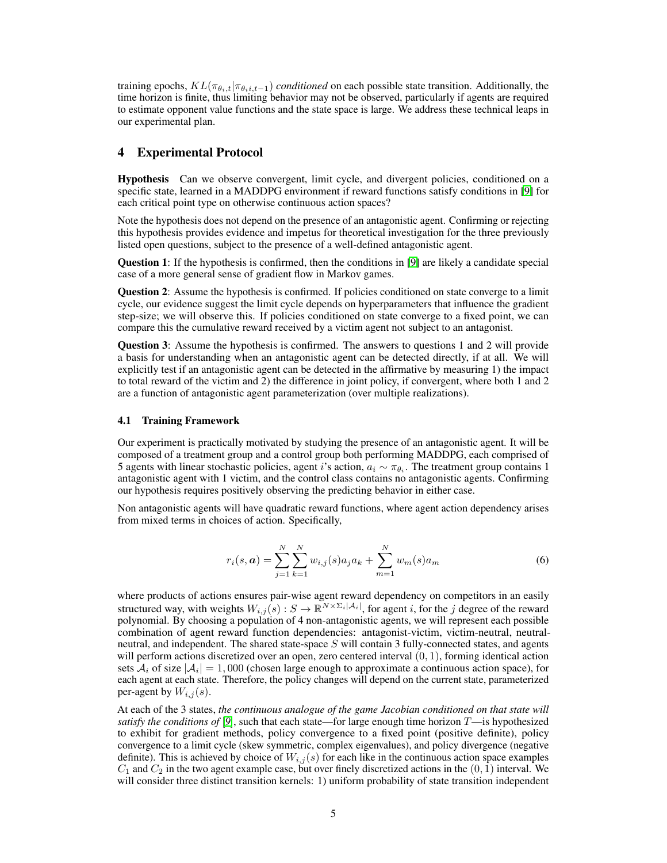training epochs,  $KL(\pi_{\theta_i,t}|\pi_{\theta_i,i,t-1})$  *conditioned* on each possible state transition. Additionally, the time horizon is finite, thus limiting behavior may not be observed, particularly if agents are required to estimate opponent value functions and the state space is large. We address these technical leaps in our experimental plan.

### 4 Experimental Protocol

Hypothesis Can we observe convergent, limit cycle, and divergent policies, conditioned on a specific state, learned in a MADDPG environment if reward functions satisfy conditions in [\[9\]](#page-5-2) for each critical point type on otherwise continuous action spaces?

Note the hypothesis does not depend on the presence of an antagonistic agent. Confirming or rejecting this hypothesis provides evidence and impetus for theoretical investigation for the three previously listed open questions, subject to the presence of a well-defined antagonistic agent.

Question 1: If the hypothesis is confirmed, then the conditions in [\[9\]](#page-5-2) are likely a candidate special case of a more general sense of gradient flow in Markov games.

Question 2: Assume the hypothesis is confirmed. If policies conditioned on state converge to a limit cycle, our evidence suggest the limit cycle depends on hyperparameters that influence the gradient step-size; we will observe this. If policies conditioned on state converge to a fixed point, we can compare this the cumulative reward received by a victim agent not subject to an antagonist.

Question 3: Assume the hypothesis is confirmed. The answers to questions 1 and 2 will provide a basis for understanding when an antagonistic agent can be detected directly, if at all. We will explicitly test if an antagonistic agent can be detected in the affirmative by measuring 1) the impact to total reward of the victim and 2) the difference in joint policy, if convergent, where both 1 and 2 are a function of antagonistic agent parameterization (over multiple realizations).

#### 4.1 Training Framework

Our experiment is practically motivated by studying the presence of an antagonistic agent. It will be composed of a treatment group and a control group both performing MADDPG, each comprised of 5 agents with linear stochastic policies, agent i's action,  $a_i \sim \pi_{\theta_i}$ . The treatment group contains 1 antagonistic agent with 1 victim, and the control class contains no antagonistic agents. Confirming our hypothesis requires positively observing the predicting behavior in either case.

Non antagonistic agents will have quadratic reward functions, where agent action dependency arises from mixed terms in choices of action. Specifically,

$$
r_i(s, a) = \sum_{j=1}^{N} \sum_{k=1}^{N} w_{i,j}(s) a_j a_k + \sum_{m=1}^{N} w_m(s) a_m
$$
\n(6)

where products of actions ensures pair-wise agent reward dependency on competitors in an easily structured way, with weights  $W_{i,j}(s): S \to \mathbb{R}^{N \times \Sigma_i |A_i|}$ , for agent i, for the j degree of the reward polynomial. By choosing a population of 4 non-antagonistic agents, we will represent each possible combination of agent reward function dependencies: antagonist-victim, victim-neutral, neutralneutral, and independent. The shared state-space  $S$  will contain 3 fully-connected states, and agents will perform actions discretized over an open, zero centered interval  $(0, 1)$ , forming identical action sets  $A_i$  of size  $|A_i| = 1,000$  (chosen large enough to approximate a continuous action space), for each agent at each state. Therefore, the policy changes will depend on the current state, parameterized per-agent by  $W_{i,j}(s)$ .

At each of the 3 states, *the continuous analogue of the game Jacobian conditioned on that state will satisfy the conditions of* [[9](#page-5-2)], such that each state—for large enough time horizon  $T$ —is hypothesized to exhibit for gradient methods, policy convergence to a fixed point (positive definite), policy convergence to a limit cycle (skew symmetric, complex eigenvalues), and policy divergence (negative definite). This is achieved by choice of  $W_{i,j}(s)$  for each like in the continuous action space examples  $C_1$  and  $C_2$  in the two agent example case, but over finely discretized actions in the  $(0, 1)$  interval. We will consider three distinct transition kernels: 1) uniform probability of state transition independent